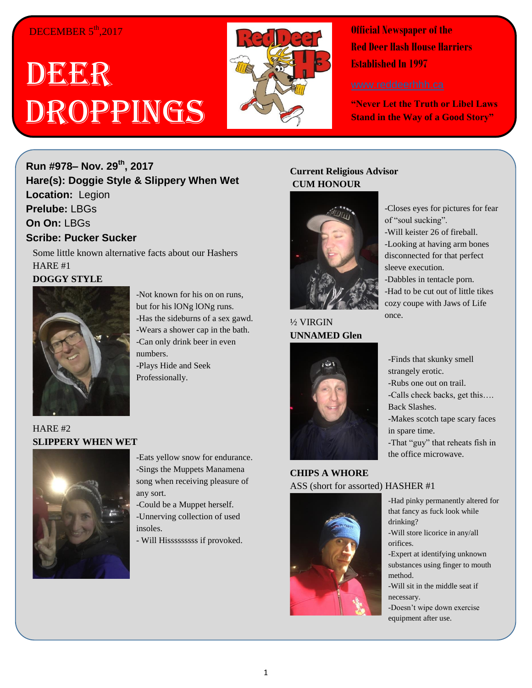## DECEMBER 5<sup>th</sup>,2017

# DEER Droppings



**Official Newspaper of the Red Deer Hash House Harriers Established In 1997** 

**"Never Let the Truth or Libel Laws Stand in the Way of a Good Story"**

**Run #978– Nov. 29 th , 2017 Hare(s): Doggie Style & Slippery When Wet Location:** Legion **Prelube:** LBGs **On On:** LBGs **Scribe: Pucker Sucker**

Some little known alternative facts about our Hashers HARE #1 **DOGGY STYLE**



-Not known for his on on runs, but for his lONg lONg runs. -Has the sideburns of a sex gawd. -Wears a shower cap in the bath. -Can only drink beer in even numbers. -Plays Hide and Seek Professionally.

HARE #2 **SLIPPERY WHEN WET**



-Eats yellow snow for endurance. -Sings the Muppets Manamena song when receiving pleasure of any sort.

-Could be a Muppet herself. -Unnerving collection of used insoles.

- Will Hisssssssss if provoked.

### **Current Religious Advisor CUM HONOUR**



½ VIRGIN **UNNAMED Glen**



#### **CHIPS A WHORE** ASS (short for assorted) HASHER #1



-Closes eyes for pictures for fear of "soul sucking".

-Will keister 26 of fireball. -Looking at having arm bones disconnected for that perfect sleeve execution.

-Dabbles in tentacle porn. -Had to be cut out of little tikes cozy coupe with Jaws of Life once.

-Finds that skunky smell strangely erotic. -Rubs one out on trail. -Calls check backs, get this…. Back Slashes. -Makes scotch tape scary faces in spare time. -That "guy" that reheats fish in the office microwave.

-Had pinky permanently altered for that fancy as fuck look while drinking?

-Will store licorice in any/all orifices.

-Expert at identifying unknown substances using finger to mouth method.

-Will sit in the middle seat if necessary.

-Doesn't wipe down exercise equipment after use.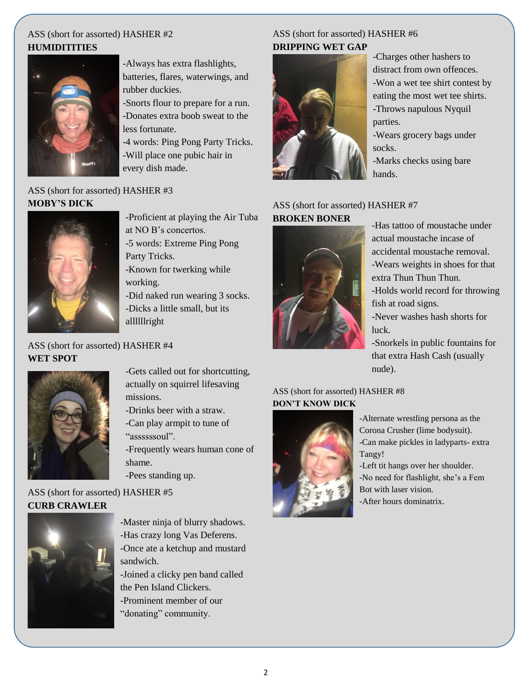#### ASS (short for assorted) HASHER #2 **HUMIDITITIES**



-Always has extra flashlights, batteries, flares, waterwings, and rubber duckies.

-Snorts flour to prepare for a run. -Donates extra boob sweat to the less fortunate.

-4 words: Ping Pong Party Tricks. -Will place one pubic hair in every dish made.

## ASS (short for assorted) HASHER #3 **MOBY'S DICK**



-Proficient at playing the Air Tuba at NO B's concertos.

-5 words: Extreme Ping Pong Party Tricks.

-Known for twerking while working.

-Did naked run wearing 3 socks. -Dicks a little small, but its allllllright

ASS (short for assorted) HASHER #4 **WET SPOT**



.-Gets called out for shortcutting, actually on squirrel lifesaving missions.

- -Drinks beer with a straw.
- -Can play armpit to tune of "assssssoul".
- -Frequently wears human cone of shame.
- -Pees standing up.

ASS (short for assorted) HASHER #5 **CURB CRAWLER**



-Master ninja of blurry shadows. -Has crazy long Vas Deferens. -Once ate a ketchup and mustard sandwich. -Joined a clicky pen band called the Pen Island Clickers. -Prominent member of our

"donating" community.

#### ASS (short for assorted) HASHER #6 **DRIPPING WET GAP**



-Charges other hashers to distract from own offences. -Won a wet tee shirt contest by eating the most wet tee shirts. -Throws napulous Nyquil parties. -Wears grocery bags under

socks.

-Marks checks using bare hands.

#### ASS (short for assorted) HASHER #7 **BROKEN BONER**



-Has tattoo of moustache under actual moustache incase of accidental moustache removal. -Wears weights in shoes for that extra Thun Thun Thun.

-Holds world record for throwing fish at road signs.

-Never washes hash shorts for luck.

-Snorkels in public fountains for that extra Hash Cash (usually nude).

#### ASS (short for assorted) HASHER #8 **DON'T KNOW DICK**



-Alternate wrestling persona as the Corona Crusher (lime bodysuit). -Can make pickles in ladyparts- extra Tangy!

-Left tit hangs over her shoulder. -No need for flashlight, she's a Fem Bot with laser vision. -After hours dominatrix.